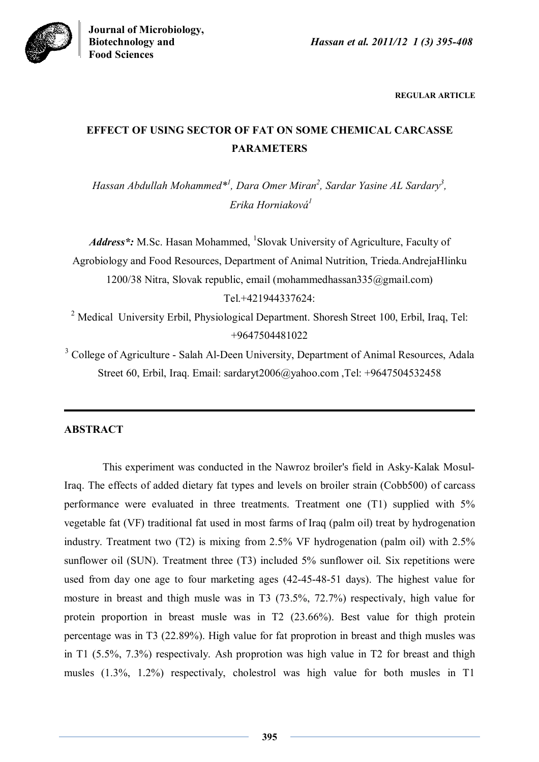

**REGULAR ARTICLE**

# **EFFECT OF USING SECTOR OF FAT ON SOME CHEMICAL CARCASSE PARAMETERS**

*Hassan Abdullah Mohammed\*<sup>1</sup> , Dara Omer Miran<sup>2</sup> , Sardar Yasine AL Sardary<sup>3</sup> , Erika Horniaková 1*

Address\*: M.Sc. Hasan Mohammed, <sup>1</sup>Slovak University of Agriculture, Faculty of Agrobiology and Food Resources, Department of Animal Nutrition, Trieda.AndrejaHlinku 1200/38 Nitra, Slovak republic, email (mohammedhassan335@gmail.com) Tel.+421944337624:

<sup>2</sup> Medical University Erbil, Physiological Department. Shoresh Street 100, Erbil, Iraq, Tel: +9647504481022

<sup>3</sup> College of Agriculture - Salah Al-Deen University, Department of Animal Resources, Adala Street 60, Erbil, Iraq. Email: sardaryt2006@yahoo.com ,Tel: +9647504532458

# **ABSTRACT**

This experiment was conducted in the Nawroz broiler's field in Asky-Kalak Mosul-Iraq. The effects of added dietary fat types and levels on broiler strain (Cobb500) of carcass performance were evaluated in three treatments. Treatment one (T1) supplied with 5% vegetable fat (VF) traditional fat used in most farms of Iraq (palm oil) treat by hydrogenation industry. Treatment two (T2) is mixing from 2.5% VF hydrogenation (palm oil) with 2.5% sunflower oil (SUN). Treatment three (T3) included 5% sunflower oil. Six repetitions were used from day one age to four marketing ages (42-45-48-51 days). The highest value for mosture in breast and thigh musle was in T3 (73.5%, 72.7%) respectivaly, high value for protein proportion in breast musle was in T2 (23.66%). Best value for thigh protein percentage was in T3 (22.89%). High value for fat proprotion in breast and thigh musles was in T1 (5.5%, 7.3%) respectivaly. Ash proprotion was high value in T2 for breast and thigh musles (1.3%, 1.2%) respectivaly, cholestrol was high value for both musles in T1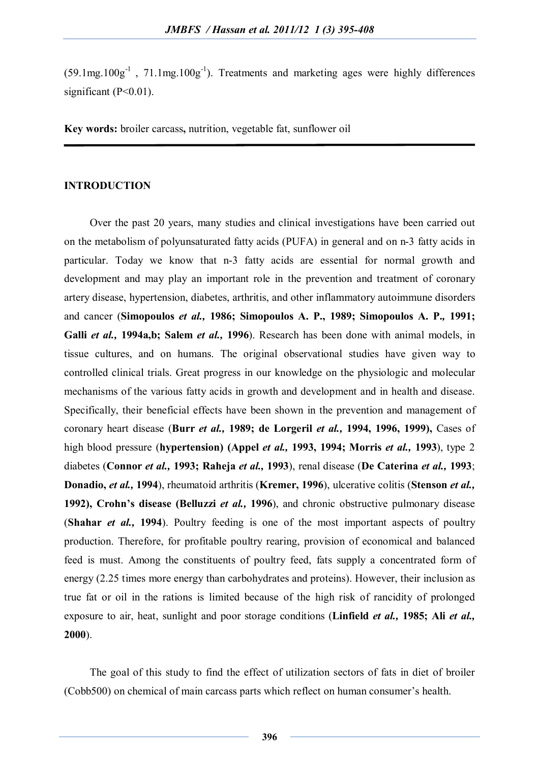$(59.1 \text{mg}.100 \text{g}^{-1}$ ,  $71.1 \text{mg}.100 \text{g}^{-1})$ . Treatments and marketing ages were highly differences significant (P<0.01).

**Key words:** broiler carcass**,** nutrition, vegetable fat, sunflower oil

#### **INTRODUCTION**

Over the past 20 years, many studies and clinical investigations have been carried out on the metabolism of polyunsaturated fatty acids (PUFA) in general and on n-3 fatty acids in particular. Today we know that n-3 fatty acids are essential for normal growth and development and may play an important role in the prevention and treatment of coronary artery disease, hypertension, diabetes, arthritis, and other inflammatory autoimmune disorders and cancer (**Simopoulos** *et al.,* **1986; Simopoulos A. P., 1989; Simopoulos A. P.***,* **1991; Galli** *et al.,* **1994a,b; Salem** *et al.,* **1996**). Research has been done with animal models, in tissue cultures, and on humans. The original observational studies have given way to controlled clinical trials. Great progress in our knowledge on the physiologic and molecular mechanisms of the various fatty acids in growth and development and in health and disease. Specifically, their beneficial effects have been shown in the prevention and management of coronary heart disease (**Burr** *et al.,* **1989; de Lorgeril** *et al.,* **1994, 1996, 1999),** Cases of high blood pressure (**hypertension) (Appel** *et al.,* **1993, 1994; Morris** *et al.,* **1993**), type 2 diabetes (**Connor** *et al.,* **1993; Raheja** *et al.,* **1993**), renal disease (**De Caterina** *et al.,* **1993**; **Donadio,** *et al.,* **1994**), rheumatoid arthritis (**Kremer, 1996**), ulcerative colitis (**Stenson** *et al.,* **1992), Crohn's disease (Belluzzi** *et al.,* **1996**), and chronic obstructive pulmonary disease (**Shahar** *et al.,* **1994**). Poultry feeding is one of the most important aspects of poultry production. Therefore, for profitable poultry rearing, provision of economical and balanced feed is must. Among the constituents of poultry feed, fats supply a concentrated form of energy (2.25 times more energy than carbohydrates and proteins). However, their inclusion as true fat or oil in the rations is limited because of the high risk of rancidity of prolonged exposure to air, heat, sunlight and poor storage conditions (**Linfield** *et al.,* **1985; Ali** *et al.,*  **2000**).

The goal of this study to find the effect of utilization sectors of fats in diet of broiler (Cobb500) on chemical of main carcass parts which reflect on human consumer's health.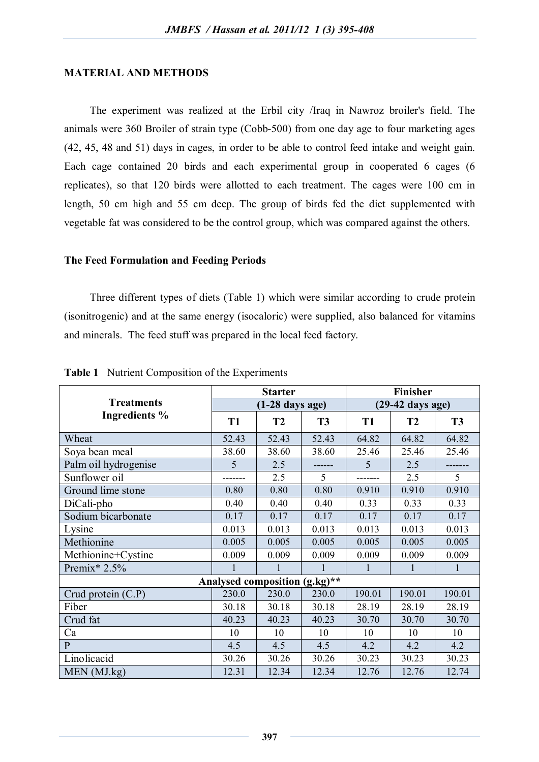#### **MATERIAL AND METHODS**

The experiment was realized at the Erbil city /Iraq in Nawroz broiler's field. The animals were 360 Broiler of strain type (Cobb-500) from one day age to four marketing ages (42, 45, 48 and 51) days in cages, in order to be able to control feed intake and weight gain. Each cage contained 20 birds and each experimental group in cooperated 6 cages (6 replicates), so that 120 birds were allotted to each treatment. The cages were 100 cm in length, 50 cm high and 55 cm deep. The group of birds fed the diet supplemented with vegetable fat was considered to be the control group, which was compared against the others.

#### **The Feed Formulation and Feeding Periods**

Three different types of diets (Table 1) which were similar according to crude protein (isonitrogenic) and at the same energy (isocaloric) were supplied, also balanced for vitamins and minerals. The feed stuff was prepared in the local feed factory.

|                      |                | <b>Starter</b>                |           | <b>Finisher</b>            |           |           |  |
|----------------------|----------------|-------------------------------|-----------|----------------------------|-----------|-----------|--|
| <b>Treatments</b>    |                | $(1-28 \text{ days age})$     |           | $(29-42 \text{ days age})$ |           |           |  |
| <b>Ingredients %</b> | T <sub>1</sub> | T2                            | <b>T3</b> | <b>T1</b>                  | <b>T2</b> | <b>T3</b> |  |
| Wheat                | 52.43          | 52.43                         | 52.43     | 64.82                      | 64.82     | 64.82     |  |
| Soya bean meal       | 38.60          | 38.60                         | 38.60     | 25.46                      | 25.46     | 25.46     |  |
| Palm oil hydrogenise | 5              | 2.5                           |           | 5                          | 2.5       |           |  |
| Sunflower oil        |                | 2.5                           | 5         |                            | 2.5       | 5         |  |
| Ground lime stone    | 0.80           | 0.80                          | 0.80      | 0.910                      | 0.910     | 0.910     |  |
| DiCali-pho           | 0.40           | 0.40                          | 0.40      | 0.33                       | 0.33      | 0.33      |  |
| Sodium bicarbonate   | 0.17           | 0.17                          | 0.17      | 0.17                       | 0.17      | 0.17      |  |
| Lysine               | 0.013          | 0.013                         | 0.013     | 0.013                      | 0.013     | 0.013     |  |
| Methionine           | 0.005          | 0.005                         | 0.005     | 0.005                      | 0.005     | 0.005     |  |
| Methionine+Cystine   | 0.009          | 0.009                         | 0.009     | 0.009                      | 0.009     | 0.009     |  |
| Premix* $2.5%$       |                |                               | 1         |                            |           | 1         |  |
|                      |                | Analysed composition (g.kg)** |           |                            |           |           |  |
| Crud protein $(C.P)$ | 230.0          | 230.0                         | 230.0     | 190.01                     | 190.01    | 190.01    |  |
| Fiber                | 30.18          | 30.18                         | 30.18     | 28.19                      | 28.19     | 28.19     |  |
| Crud fat             | 40.23          | 40.23                         | 40.23     | 30.70                      | 30.70     | 30.70     |  |
| Ca                   | 10             | 10                            | 10        | 10                         | 10        | 10        |  |
| $\mathbf{P}$         | 4.5            | 4.5                           | 4.5       | 4.2                        | 4.2       | 4.2       |  |
| Linolicacid          | 30.26          | 30.26                         | 30.26     | 30.23                      | 30.23     | 30.23     |  |
| MEN (MJ.kg)          | 12.31          | 12.34                         | 12.34     | 12.76                      | 12.76     | 12.74     |  |

**Table 1** Nutrient Composition of the Experiments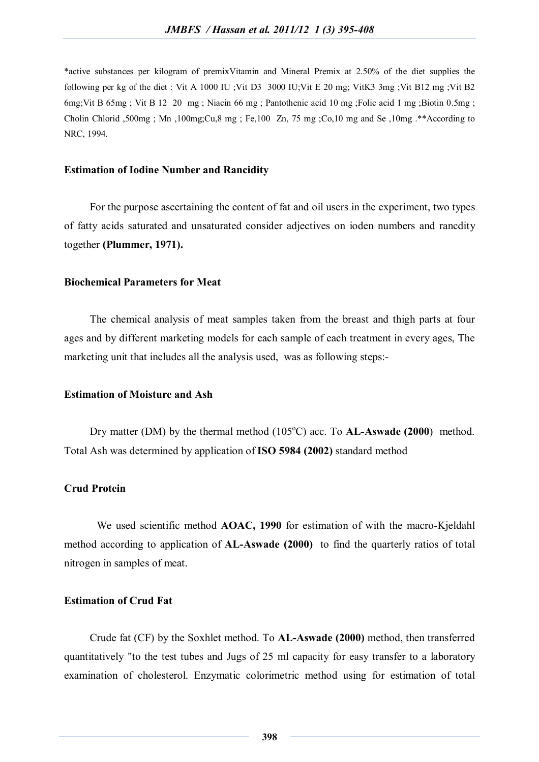\*active substances per kilogram of premixVitamin and Mineral Premix at 2.50% of the diet supplies the following per kg of the diet : Vit A 1000 IU ;Vit D3 3000 IU;Vit E 20 mg; VitK3 3mg ;Vit B12 mg ;Vit B2 6mg;Vit B 65mg ; Vit B 12 20 mg ; Niacin 66 mg ; Pantothenic acid 10 mg ;Folic acid 1 mg ;Biotin 0.5mg ; Cholin Chlorid ,500mg ; Mn ,100mg;Cu,8 mg ; Fe,100 Zn, 75 mg ;Co,10 mg and Se ,10mg .\*\*According to NRC, 1994.

#### **Estimation of Iodine Number and Rancidity**

For the purpose ascertaining the content of fat and oil users in the experiment, two types of fatty acids saturated and unsaturated consider adjectives on ioden numbers and rancdity together **(Plummer, 1971).**

#### **Biochemical Parameters for Meat**

The chemical analysis of meat samples taken from the breast and thigh parts at four ages and by different marketing models for each sample of each treatment in every ages, The marketing unit that includes all the analysis used, was as following steps:-

# **Estimation of Moisture and Ash**

Dry matter (DM) by the thermal method  $(105^{\circ}C)$  acc. To **AL-Aswade (2000**) method. Total Ash was determined by application of **ISO 5984 (2002)** standard method

#### **Crud Protein**

We used scientific method **AOAC, 1990** for estimation of with the macro-Kjeldahl method according to application of **AL-Aswade (2000)** to find the quarterly ratios of total nitrogen in samples of meat.

# **Estimation of Crud Fat**

Crude fat (CF) by the Soxhlet method. To **AL-Aswade (2000)** method, then transferred quantitatively "to the test tubes and Jugs of 25 ml capacity for easy transfer to a laboratory examination of cholesterol. Enzymatic colorimetric method using for estimation of total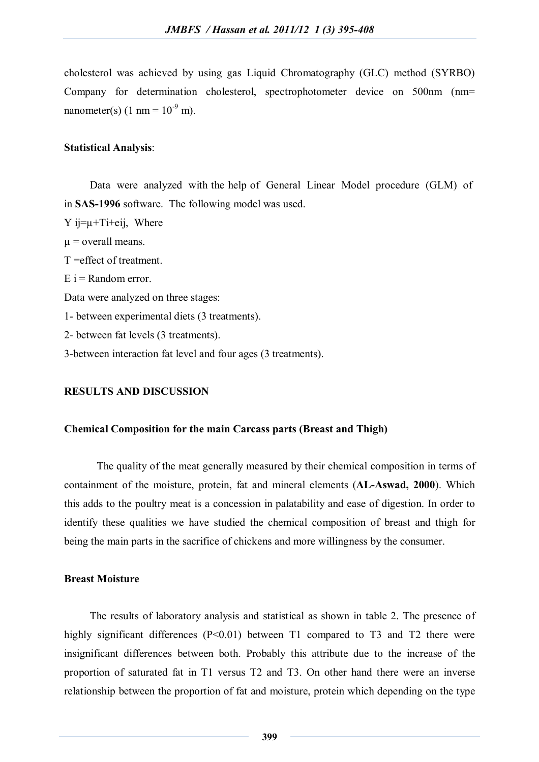cholesterol was achieved by using gas Liquid Chromatography (GLC) method (SYRBO) Company for determination cholesterol, spectrophotometer device on 500nm (nm= nanometer(s)  $(1 \text{ nm} = 10^{-9} \text{ m})$ .

# **Statistical Analysis**:

Data were analyzed with the help of General Linear Model procedure (GLM) of in **SAS-1996** software. The following model was used.

 $Y$  ij= $\mu$ +Ti+eij, Where  $\mu$  = overall means. T =effect of treatment.  $E_i$  = Random error. Data were analyzed on three stages: 1- between experimental diets (3 treatments). 2- between fat levels (3 treatments). 3-between interaction fat level and four ages (3 treatments).

# **RESULTS AND DISCUSSION**

# **Chemical Composition for the main Carcass parts (Breast and Thigh)**

The quality of the meat generally measured by their chemical composition in terms of containment of the moisture, protein, fat and mineral elements (**AL-Aswad, 2000**). Which this adds to the poultry meat is a concession in palatability and ease of digestion. In order to identify these qualities we have studied the chemical composition of breast and thigh for being the main parts in the sacrifice of chickens and more willingness by the consumer.

# **Breast Moisture**

The results of laboratory analysis and statistical as shown in table 2. The presence of highly significant differences (P<0.01) between T1 compared to T3 and T2 there were insignificant differences between both. Probably this attribute due to the increase of the proportion of saturated fat in T1 versus T2 and T3. On other hand there were an inverse relationship between the proportion of fat and moisture, protein which depending on the type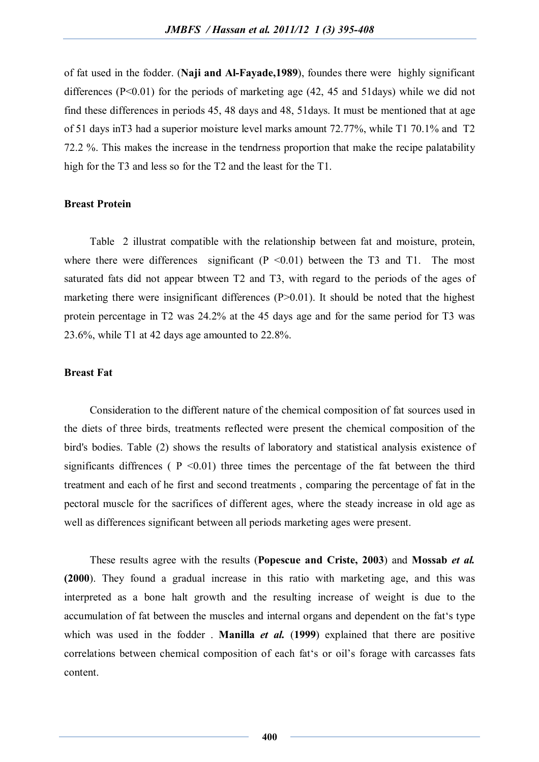of fat used in the fodder. (**Naji and Al-Fayade,1989**), foundes there were highly significant differences  $(P<0.01)$  for the periods of marketing age  $(42, 45, 45)$  and  $51$ days) while we did not find these differences in periods 45, 48 days and 48, 51days. It must be mentioned that at age of 51 days inT3 had a superior moisture level marks amount 72.77%, while T1 70.1% and T2 72.2 %. This makes the increase in the tendrness proportion that make the recipe palatability high for the T3 and less so for the T2 and the least for the T1.

# **Breast Protein**

Table 2 illustrat compatible with the relationship between fat and moisture, protein, where there were differences significant  $(P \le 0.01)$  between the T3 and T1. The most saturated fats did not appear btween T2 and T3, with regard to the periods of the ages of marketing there were insignificant differences  $(P>0.01)$ . It should be noted that the highest protein percentage in T2 was 24.2% at the 45 days age and for the same period for T3 was 23.6%, while T1 at 42 days age amounted to 22.8%.

#### **Breast Fat**

Consideration to the different nature of the chemical composition of fat sources used in the diets of three birds, treatments reflected were present the chemical composition of the bird's bodies. Table (2) shows the results of laboratory and statistical analysis existence of significants diffrences ( $P \le 0.01$ ) three times the percentage of the fat between the third treatment and each of he first and second treatments , comparing the percentage of fat in the pectoral muscle for the sacrifices of different ages, where the steady increase in old age as well as differences significant between all periods marketing ages were present.

These results agree with the results (**Popescue and Criste, 2003**) and **Mossab** *et al.* **(2000**). They found a gradual increase in this ratio with marketing age, and this was interpreted as a bone halt growth and the resulting increase of weight is due to the accumulation of fat between the muscles and internal organs and dependent on the fat's type which was used in the fodder . **Manilla** *et al.* (**1999**) explained that there are positive correlations between chemical composition of each fat's or oil's forage with carcasses fats content.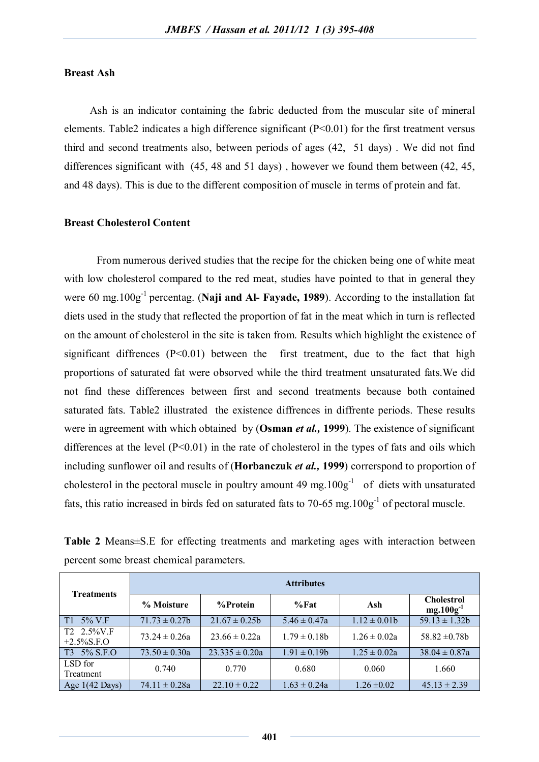# **Breast Ash**

Ash is an indicator containing the fabric deducted from the muscular site of mineral elements. Table2 indicates a high difference significant (P<0.01) for the first treatment versus third and second treatments also, between periods of ages (42, 51 days) . We did not find differences significant with (45, 48 and 51 days) , however we found them between (42, 45, and 48 days). This is due to the different composition of muscle in terms of protein and fat.

#### **Breast Cholesterol Content**

From numerous derived studies that the recipe for the chicken being one of white meat with low cholesterol compared to the red meat, studies have pointed to that in general they were 60 mg.100g-1 percentag. (**Naji and Al- Fayade, 1989**). According to the installation fat diets used in the study that reflected the proportion of fat in the meat which in turn is reflected on the amount of cholesterol in the site is taken from. Results which highlight the existence of significant diffrences  $(P<0.01)$  between the first treatment, due to the fact that high proportions of saturated fat were obsorved while the third treatment unsaturated fats.We did not find these differences between first and second treatments because both contained saturated fats. Table2 illustrated the existence diffrences in diffrente periods. These results were in agreement with which obtained by (**Osman** *et al.,* **1999**). The existence of significant differences at the level  $(P<0.01)$  in the rate of cholesterol in the types of fats and oils which including sunflower oil and results of (**Horbanczuk** *et al.,* **1999**) correrspond to proportion of cholesterol in the pectoral muscle in poultry amount 49 mg.  $100g^{-1}$  of diets with unsaturated fats, this ratio increased in birds fed on saturated fats to 70-65 mg.  $100g^{-1}$  of pectoral muscle.

**Table 2** Means±S.E for effecting treatments and marketing ages with interaction between percent some breast chemical parameters.

| <b>Treatments</b>                      | <b>Attributes</b>  |                    |                   |                  |                                     |  |  |  |  |
|----------------------------------------|--------------------|--------------------|-------------------|------------------|-------------------------------------|--|--|--|--|
|                                        | % Moisture         | %Protein           | $%$ Fat           | Ash              | <b>Cholestrol</b><br>$mg.100g^{-1}$ |  |  |  |  |
| $T1 \quad 5\% \text{ V.F}$             | $71.73 \pm 0.27$ h | $21.67 \pm 0.25b$  | $5.46 \pm 0.47a$  | $1.12 \pm 0.01$  | $59.13 \pm 1.32b$                   |  |  |  |  |
| $T2 \quad 2.5\%$ V.F<br>$+2.5\%$ S.F.O | $73.24 \pm 0.26a$  | $23.66 \pm 0.22a$  | $1.79 \pm 0.18$ b | $1.26 \pm 0.02a$ | $58.82 \pm 0.78b$                   |  |  |  |  |
| T3 5% S.F.O                            | $73.50 \pm 0.30a$  | $23.335 \pm 0.20a$ | $1.91 \pm 0.19b$  | $1.25 \pm 0.02a$ | $38.04 \pm 0.87a$                   |  |  |  |  |
| LSD for<br>Treatment                   | 0.740              | 0.770              | 0.680             | 0.060            | 1.660                               |  |  |  |  |
| Age $1(42 \text{ Days})$               | $74.11 \pm 0.28a$  | $22.10 \pm 0.22$   | $1.63 \pm 0.24a$  | $1.26 \pm 0.02$  | $45.13 \pm 2.39$                    |  |  |  |  |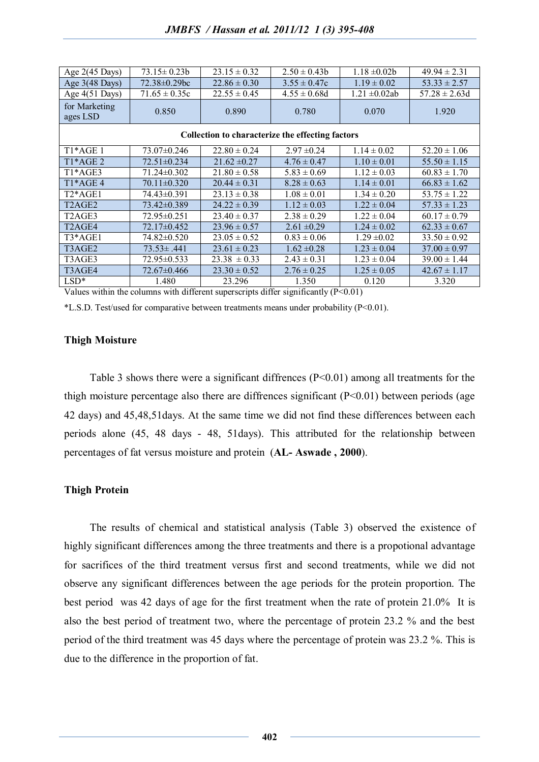| Age $2(45 \text{ Days})$                         | $73.15 \pm 0.23b$ | $23.15 \pm 0.32$ | $2.50 \pm 0.43$  | $1.18 \pm 0.02b$   | $49.94 \pm 2.31$  |  |  |  |  |
|--------------------------------------------------|-------------------|------------------|------------------|--------------------|-------------------|--|--|--|--|
| Age 3(48 Days)                                   | 72.38±0.29bc      | $22.86 \pm 0.30$ | $3.55 \pm 0.47c$ | $1.19 \pm 0.02$    | $53.33 \pm 2.57$  |  |  |  |  |
| Age $4(51 \text{ Days})$                         | $71.65 \pm 0.35c$ | $22.55 \pm 0.45$ | $4.55 \pm 0.68d$ | $1.21 \pm 0.02$ ab | $57.28 \pm 2.63d$ |  |  |  |  |
| for Marketing<br>ages LSD                        | 0.850             | 0.890            | 0.780            | 0.070              | 1.920             |  |  |  |  |
| Collection to characterize the effecting factors |                   |                  |                  |                    |                   |  |  |  |  |
| $T1*AGE1$                                        | 73.07±0.246       | $22.80 \pm 0.24$ | $2.97 \pm 0.24$  | $1.14 \pm 0.02$    | $52.20 \pm 1.06$  |  |  |  |  |
| $T1*AGE2$                                        | $72.51 \pm 0.234$ | $21.62 \pm 0.27$ | $4.76 \pm 0.47$  | $1.10 \pm 0.01$    | $55.50 \pm 1.15$  |  |  |  |  |
| T <sub>1</sub> *AGE3                             | 71.24±0.302       | $21.80 \pm 0.58$ | $5.83 \pm 0.69$  | $1.12 \pm 0.03$    | $60.83 \pm 1.70$  |  |  |  |  |
| T1*AGE 4                                         | $70.11 \pm 0.320$ | $20.44 \pm 0.31$ | $8.28 \pm 0.63$  | $1.14 \pm 0.01$    | $66.83 \pm 1.62$  |  |  |  |  |
| $T2*AGE1$                                        | 74.43±0.391       | $23.13 \pm 0.38$ | $1.08 \pm 0.01$  | $1.34 \pm 0.20$    | $53.75 \pm 1.22$  |  |  |  |  |
| T <sub>2</sub> AGE <sub>2</sub>                  | 73.42±0.389       | $24.22 \pm 0.39$ | $1.12 \pm 0.03$  | $1.22 \pm 0.04$    | $57.33 \pm 1.23$  |  |  |  |  |
| T <sub>2</sub> AGE <sub>3</sub>                  | 72.95±0.251       | $23.40 \pm 0.37$ | $2.38 \pm 0.29$  | $1.22 \pm 0.04$    | $60.17 \pm 0.79$  |  |  |  |  |
| T <sub>2</sub> AGE4                              | 72.17±0.452       | $23.96 \pm 0.57$ | $2.61 \pm 0.29$  | $1.24 \pm 0.02$    | $62.33 \pm 0.67$  |  |  |  |  |
| $T3*AGE1$                                        | 74.82±0.520       | $23.05 \pm 0.52$ | $0.83 \pm 0.06$  | $1.29 \pm 0.02$    | $33.50 \pm 0.92$  |  |  |  |  |
| T3AGE2                                           | $73.53 \pm .441$  | $23.61 \pm 0.23$ | $1.62 \pm 0.28$  | $1.23 \pm 0.04$    | $37.00 \pm 0.97$  |  |  |  |  |
| T3AGE3                                           | 72.95±0.533       | $23.38 \pm 0.33$ | $2.43 \pm 0.31$  | $1.23 \pm 0.04$    | $39.00 \pm 1.44$  |  |  |  |  |
| T3AGE4                                           | 72.67±0.466       | $23.30 \pm 0.52$ | $2.76 \pm 0.25$  | $1.25 \pm 0.05$    | $42.67 \pm 1.17$  |  |  |  |  |
| $LSD*$                                           | 1.480             | 23.296           | 1.350            | 0.120              | 3.320             |  |  |  |  |

Values within the columns with different superscripts differ significantly (P<0.01)

\*L.S.D. Test/used for comparative between treatments means under probability (P<0.01).

#### **Thigh Moisture**

Table 3 shows there were a significant diffrences  $(P<0.01)$  among all treatments for the thigh moisture percentage also there are diffrences significant  $(P<0.01)$  between periods (age 42 days) and 45,48,51days. At the same time we did not find these differences between each periods alone (45, 48 days - 48, 51days). This attributed for the relationship between percentages of fat versus moisture and protein (**AL- Aswade , 2000**).

# **Thigh Protein**

The results of chemical and statistical analysis (Table 3) observed the existence of highly significant differences among the three treatments and there is a propotional advantage for sacrifices of the third treatment versus first and second treatments, while we did not observe any significant differences between the age periods for the protein proportion. The best period was 42 days of age for the first treatment when the rate of protein 21.0% It is also the best period of treatment two, where the percentage of protein 23.2 % and the best period of the third treatment was 45 days where the percentage of protein was 23.2 %. This is due to the difference in the proportion of fat.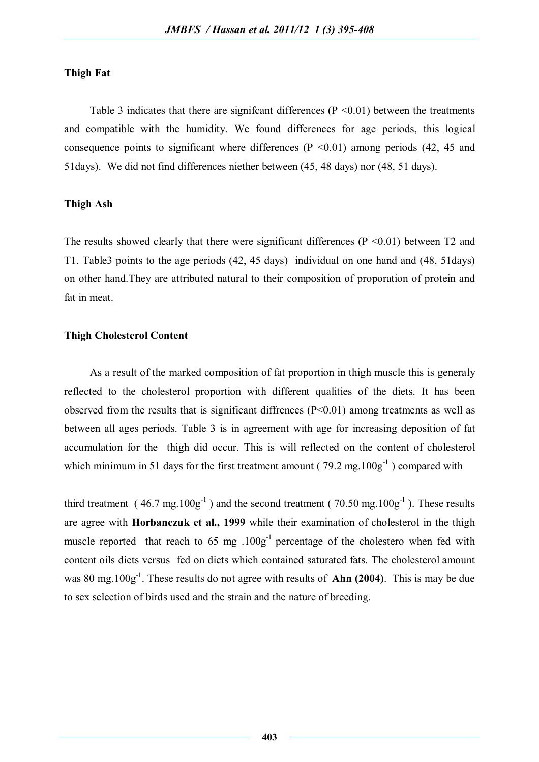# **Thigh Fat**

Table 3 indicates that there are significant differences ( $P \le 0.01$ ) between the treatments and compatible with the humidity. We found differences for age periods, this logical consequence points to significant where differences  $(P \le 0.01)$  among periods  $(42, 45, 46)$ 51days). We did not find differences niether between (45, 48 days) nor (48, 51 days).

# **Thigh Ash**

The results showed clearly that there were significant differences  $(P \le 0.01)$  between T2 and T1. Table3 points to the age periods (42, 45 days) individual on one hand and (48, 51days) on other hand.They are attributed natural to their composition of proporation of protein and fat in meat.

#### **Thigh Cholesterol Content**

As a result of the marked composition of fat proportion in thigh muscle this is generaly reflected to the cholesterol proportion with different qualities of the diets. It has been observed from the results that is significant diffrences (P<0.01) among treatments as well as between all ages periods. Table 3 is in agreement with age for increasing deposition of fat accumulation for the thigh did occur. This is will reflected on the content of cholesterol which minimum in 51 days for the first treatment amount ( $79.2$  mg. $100g^{-1}$ ) compared with

third treatment (46.7 mg.  $100g^{-1}$ ) and the second treatment (70.50 mg.  $100g^{-1}$ ). These results are agree with **Horbanczuk et al., 1999** while their examination of cholesterol in the thigh muscle reported that reach to  $65 \text{ mg}$ .  $100g^{-1}$  percentage of the cholestero when fed with content oils diets versus fed on diets which contained saturated fats. The cholesterol amount was 80 mg.100g<sup>-1</sup>. These results do not agree with results of **Ahn (2004)**. This is may be due to sex selection of birds used and the strain and the nature of breeding.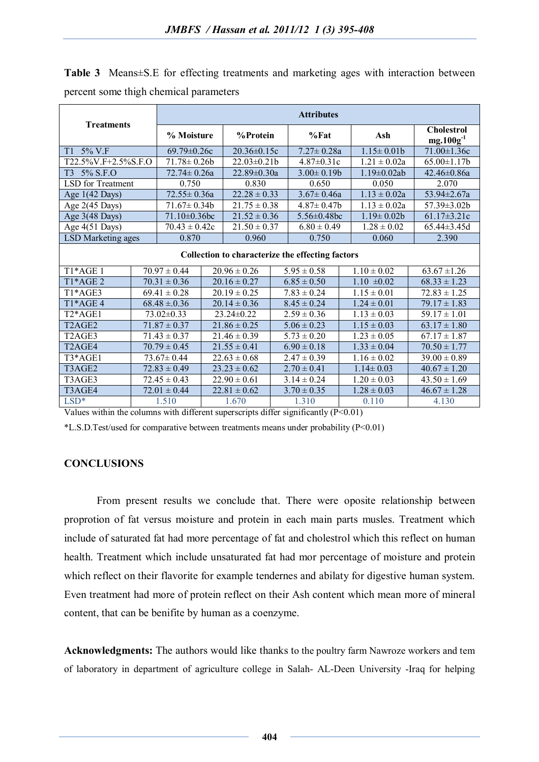| <b>Treatments</b>                                |                                    | <b>Attributes</b>          |                  |                             |                 |                   |  |                    |                                     |
|--------------------------------------------------|------------------------------------|----------------------------|------------------|-----------------------------|-----------------|-------------------|--|--------------------|-------------------------------------|
|                                                  |                                    | % Moisture                 |                  | %Protein                    |                 | $%$ Fat           |  | Ash                | <b>Cholestrol</b><br>$mg.100g^{-1}$ |
| T1 5% V.F                                        |                                    | $69.79 \pm 0.26c$          |                  | 20.36±0.15c                 |                 | $7.27 \pm 0.28a$  |  | $1.15 \pm 0.01$    | $71.00 \pm 1.36c$                   |
| T22.5%V.F+2.5%S.F.O                              |                                    | $\overline{71.78}$ ± 0.26b |                  | $22.03 \pm 0.21$            |                 | $4.87 \pm 0.31c$  |  | $1.21 \pm 0.02a$   | $65.00 \pm 1.17$ b                  |
| 5% S.F.O<br>T3                                   |                                    | $72.74 \pm 0.26a$          |                  | $22.89 \pm 0.30a$           |                 | $3.00 \pm 0.19$   |  | $1.19 \pm 0.02$ ab | $42.46 \pm 0.86a$                   |
| LSD for Treatment                                |                                    | 0.750                      |                  | 0.830                       |                 | 0.650             |  | 0.050              | 2.070                               |
| Age $1(42 \text{ Days})$                         |                                    | $72.55 \pm 0.36a$          |                  | $22.28 \pm 0.33$            |                 | $3.67 \pm 0.46a$  |  | $1.13 \pm 0.02a$   | $53.94 \pm 2.67$ a                  |
| Age 2(45 Days)                                   |                                    | $71.67 \pm 0.34b$          |                  | $21.75 \pm 0.38$            |                 | $4.87 \pm 0.47$ b |  | $1.13 \pm 0.02a$   | 57.39±3.02b                         |
| Age $3(48 \text{ Days})$                         | 71.10±0.36bc                       |                            |                  | $21.52 \pm 0.36$            |                 | 5.56 $\pm$ 0.48bc |  | $1.19 \pm 0.02b$   | $61.17 \pm 3.21c$                   |
| Age 4(51 Days)                                   | $70.43 \pm 0.42c$                  |                            |                  | $\overline{21.50} \pm 0.37$ |                 | $6.80 \pm 0.49$   |  | $1.28 \pm 0.02$    | 65.44±3.45d                         |
|                                                  | <b>LSD</b> Marketing ages<br>0.870 |                            |                  | 0.960                       | 0.750           |                   |  | 0.060              | 2.390                               |
| Collection to characterize the effecting factors |                                    |                            |                  |                             |                 |                   |  |                    |                                     |
| T <sub>1</sub> *AGE <sub>1</sub>                 |                                    | $70.97 \pm 0.44$           |                  | $20.96 \pm 0.26$            |                 | $5.95 \pm 0.58$   |  | $1.10 \pm 0.02$    | $63.67 \pm 1.26$                    |
| T1*AGE 2                                         |                                    | $70.31 \pm 0.36$           | $20.16 \pm 0.27$ |                             | $6.85 \pm 0.50$ |                   |  | $1.10 \pm 0.02$    | $68.33 \pm 1.23$                    |
| $T1*AGE3$                                        |                                    | $69.41 \pm 0.28$           | $20.19 \pm 0.25$ |                             | $7.83 \pm 0.24$ |                   |  | $1.15 \pm 0.01$    | $72.83 \pm 1.25$                    |
| $T1*AGE4$                                        |                                    | $68.48 \pm 0.36$           |                  | $20.14 \pm 0.36$            |                 | $8.45 \pm 0.24$   |  | $1.24 \pm 0.01$    | $79.17 \pm 1.83$                    |
| T <sub>2</sub> *AGE1                             |                                    | $73.02 \pm 0.33$           |                  | 23.24±0.22                  |                 | $2.59 \pm 0.36$   |  | $1.13 \pm 0.03$    | $59.17 \pm 1.01$                    |
| T <sub>2</sub> AGE <sub>2</sub>                  |                                    | $71.87 \pm 0.37$           |                  | $21.86 \pm 0.25$            |                 | $5.06 \pm 0.23$   |  | $1.15 \pm 0.03$    | $63.17 \pm 1.80$                    |
| T <sub>2</sub> AGE <sub>3</sub>                  |                                    | $71.43 \pm 0.37$           |                  | $21.46 \pm 0.39$            |                 | $5.73 \pm 0.20$   |  | $1.23 \pm 0.05$    | $67.17 \pm 1.87$                    |
| T <sub>2</sub> AGE4                              |                                    | $70.79 \pm 0.45$           |                  | $21.55 \pm 0.41$            |                 | $6.90 \pm 0.18$   |  | $1.33 \pm 0.04$    | $70.50 \pm 1.77$                    |
| T3*AGE1                                          |                                    | $73.67 \pm 0.44$           |                  | $22.63 \pm 0.68$            |                 | $2.47 \pm 0.39$   |  | $1.16 \pm 0.02$    | $39.00 \pm 0.89$                    |
| T3AGE2                                           |                                    | $72.83 \pm 0.49$           |                  | $23.23 \pm 0.62$            | $2.70 \pm 0.41$ |                   |  | $1.14 \pm 0.03$    | $40.67 \pm 1.20$                    |
| T3AGE3                                           |                                    | $72.45 \pm 0.43$           | $22.90 \pm 0.61$ |                             |                 | $3.14 \pm 0.24$   |  | $1.20 \pm 0.03$    | $43.50 \pm 1.69$                    |
| T3AGE4                                           |                                    | $72.01 \pm 0.44$           | $22.81 \pm 0.62$ |                             |                 | $3.70 \pm 0.35$   |  | $1.28 \pm 0.03$    | $46.67 \pm 1.28$                    |
| $LSD*$                                           |                                    | 1.510                      | 1.670            |                             |                 | 1.310             |  | 0.110              | 4.130                               |

**Table 3** Means±S.E for effecting treatments and marketing ages with interaction between percent some thigh chemical parameters

Values within the columns with different superscripts differ significantly (P<0.01)

\*L.S.D.Test/used for comparative between treatments means under probability (P<0.01)

# **CONCLUSIONS**

From present results we conclude that. There were oposite relationship between proprotion of fat versus moisture and protein in each main parts musles. Treatment which include of saturated fat had more percentage of fat and cholestrol which this reflect on human health. Treatment which include unsaturated fat had mor percentage of moisture and protein which reflect on their flavorite for example tendernes and abilaty for digestive human system. Even treatment had more of protein reflect on their Ash content which mean more of mineral content, that can be benifite by human as a coenzyme.

**Acknowledgments:** The authors would like thanks to the poultry farm Nawroze workers and tem of laboratory in department of agriculture college in Salah- AL-Deen University -Iraq for helping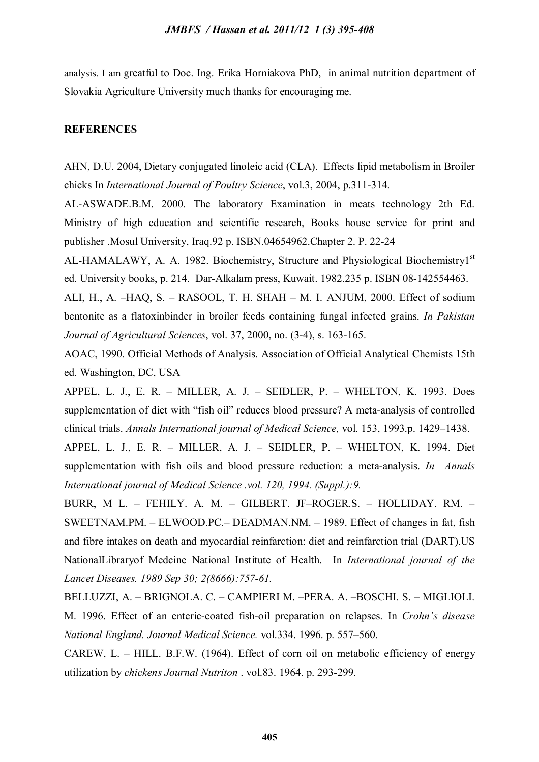analysis. I am greatful to Doc. Ing. Erika Horniakova PhD, in animal nutrition department of Slovakia Agriculture University much thanks for encouraging me.

# **REFERENCES**

AHN, D.U. 2004, Dietary conjugated linoleic acid (CLA). Effects lipid metabolism in Broiler chicks In *International Journal of Poultry Science*, vol.3, 2004, p.311-314.

AL-ASWADE.B.M. 2000. The laboratory Examination in meats technology 2th Ed. Ministry of high education and scientific research, Books house service for print and publisher .Mosul University, Iraq.92 p. ISBN.04654962.Chapter 2. P. 22-24

AL-HAMALAWY, A. A. 1982. Biochemistry, Structure and Physiological Biochemistry1<sup>st</sup> ed. University books, p. 214. Dar-Alkalam press, Kuwait. 1982.235 p. ISBN 08-142554463.

ALI, H., A. –HAQ, S. – RASOOL, T. H. SHAH – M. I. ANJUM, 2000. Effect of sodium bentonite as a flatoxinbinder in broiler feeds containing fungal infected grains. *In Pakistan Journal of Agricultural Sciences*, vol. 37, 2000, no. (3-4), s. 163-165.

AOAC, 1990. Official Methods of Analysis. Association of Official Analytical Chemists 15th ed. Washington, DC, USA

APPEL, L. J., E. R. – MILLER, A. J. – SEIDLER, P. – WHELTON, K. 1993. Does supplementation of diet with "fish oil" reduces blood pressure? A meta-analysis of controlled clinical trials. *Annals International journal of Medical Science,* vol. 153, 1993.p. 1429–1438.

APPEL, L. J., E. R. – MILLER, A. J. – SEIDLER, P. – WHELTON, K. 1994. Diet supplementation with fish oils and blood pressure reduction: a meta-analysis. *In Annals International journal of Medical Science .vol. 120, 1994. (Suppl.):9.*

BURR, M L. – FEHILY. A. M. – GILBERT. JF–ROGER.S. – HOLLIDAY. RM. – SWEETNAM.PM. – ELWOOD.PC.– DEADMAN.NM. – 1989. Effect of changes in fat, fish and fibre intakes on death and myocardial reinfarction: diet and reinfarction trial (DART).US NationalLibraryof Medcine National Institute of Health. In *International journal of the Lancet Diseases. 1989 Sep 30; 2(8666):757-61.*

BELLUZZI, A. – BRIGNOLA. C. – CAMPIERI M. –PERA. A. –BOSCHI. S. – MIGLIOLI. M. 1996. Effect of an enteric-coated fish-oil preparation on relapses. In *Crohn's disease National England. Journal Medical Science.* vol.334. 1996. p. 557–560.

CAREW, L. – HILL. B.F.W. (1964). Effect of corn oil on metabolic efficiency of energy utilization by *chickens Journal Nutriton* . vol.83. 1964. p. 293-299.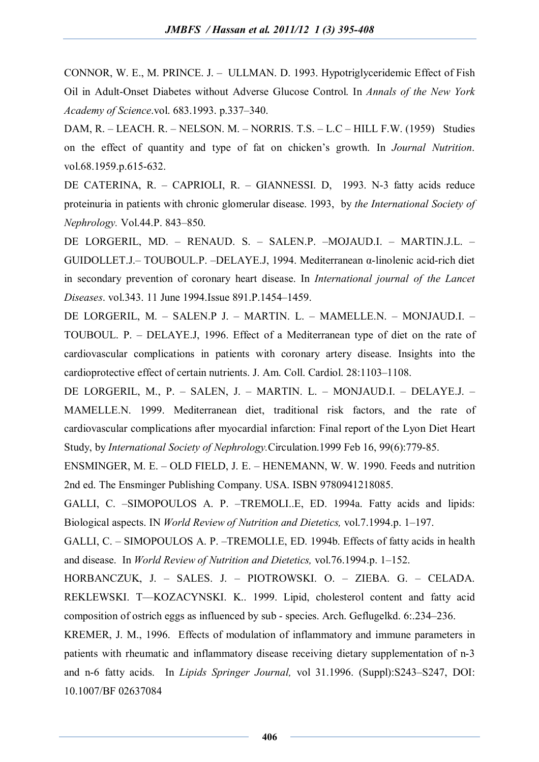CONNOR, W. E., M. PRINCE. J. – ULLMAN. D. 1993. Hypotriglyceridemic Effect of Fish Oil in Adult-Onset Diabetes without Adverse Glucose Control. In *Annals of the New York Academy of Science*.vol. 683.1993. p.337–340.

DAM, R. – LEACH. R. – NELSON. M. – NORRIS. T.S. – L.C – HILL F.W. (1959) Studies on the effect of quantity and type of fat on chicken's growth. In *Journal Nutrition*. vol.68.1959.p.615-632.

DE CATERINA, R. – CAPRIOLI, R. – GIANNESSI. D, 1993. N-3 fatty acids reduce proteinuria in patients with chronic glomerular disease. 1993, by *the International Society of Nephrology.* Vol.44.P. 843–850.

DE LORGERIL, MD. – RENAUD. S. – SALEN.P. –MOJAUD.I. – MARTIN.J.L. – GUIDOLLET.J.– TOUBOUL.P. –DELAYE.J, 1994. Mediterranean α-linolenic acid-rich diet in secondary prevention of coronary heart disease. In *International journal of the Lancet Diseases*. vol.343. 11 June 1994.Issue 891.P.1454–1459.

DE LORGERIL, M. – SALEN.P J. – MARTIN. L. – MAMELLE.N. – MONJAUD.I. – TOUBOUL. P. – DELAYE.J, 1996. Effect of a Mediterranean type of diet on the rate of cardiovascular complications in patients with coronary artery disease. Insights into the cardioprotective effect of certain nutrients. J. Am. Coll. Cardiol. 28:1103–1108.

DE LORGERIL, M., P. – SALEN, J. – MARTIN. L. – MONJAUD.I. – DELAYE.J. – MAMELLE.N. 1999. Mediterranean diet, traditional risk factors, and the rate of cardiovascular complications after myocardial infarction: Final report of the Lyon Diet Heart Study, by *International Society of Nephrology.*Circulation.1999 Feb 16, 99(6):779-85.

ENSMINGER, M. E. – OLD FIELD, J. E. – HENEMANN, W. W. 1990. Feeds and nutrition 2nd ed. The Ensminger Publishing Company. USA. ISBN 9780941218085.

GALLI, C. –SIMOPOULOS A. P. –TREMOLI..E, ED. 1994a. Fatty acids and lipids: Biological aspects. IN *World Review of Nutrition and Dietetics,* vol.7.1994.p. 1–197.

GALLI, C. – SIMOPOULOS A. P. –TREMOLI.E, ED. 1994b. Effects of fatty acids in health and disease. In *World Review of Nutrition and Dietetics,* vol.76.1994.p. 1–152.

HORBANCZUK, J. – SALES. J. – PIOTROWSKI. O. – ZIEBA. G. – CELADA. REKLEWSKI. T––KOZACYNSKI. K.. 1999. Lipid, cholesterol content and fatty acid composition of ostrich eggs as influenced by sub - species. Arch. Geflugelkd. 6:.234–236.

KREMER, J. M., 1996. Effects of modulation of inflammatory and immune parameters in patients with rheumatic and inflammatory disease receiving dietary supplementation of n-3 and n-6 fatty acids. In *Lipids Springer Journal,* vol 31.1996. (Suppl):S243–S247, DOI: 10.1007/BF 02637084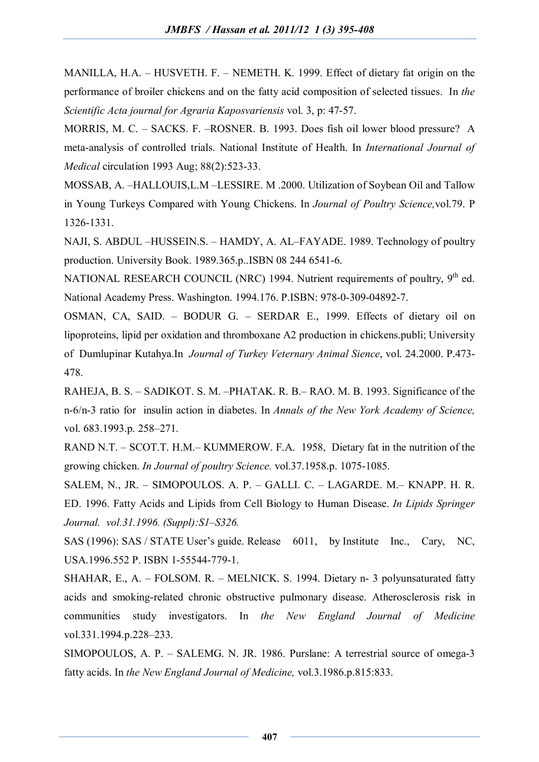MANILLA, H.A. – HUSVETH. F. – NEMETH. K. 1999. Effect of dietary fat origin on the performance of broiler chickens and on the fatty acid composition of selected tissues. In *the Scientific Acta journal for Agraria Kaposvariensis* vol. 3, p: 47-57.

MORRIS, M. C. – SACKS. F. –ROSNER. B. 1993. Does fish oil lower blood pressure? A meta-analysis of controlled trials. National Institute of Health. In *International Journal of Medical* circulation 1993 Aug; 88(2):523-33.

MOSSAB, A. –HALLOUIS,L.M –LESSIRE. M .2000. Utilization of Soybean Oil and Tallow in Young Turkeys Compared with Young Chickens. In *Journal of Poultry Science,*vol.79. P 1326-1331.

NAJI, S. ABDUL –HUSSEIN.S. – HAMDY, A. AL–FAYADE. 1989. Technology of poultry production. University Book. 1989.365.p..ISBN 08 244 6541-6.

NATIONAL RESEARCH COUNCIL (NRC) 1994. Nutrient requirements of poultry, 9<sup>th</sup> ed. National Academy Press. Washington. 1994.176. P.ISBN: 978-0-309-04892-7.

OSMAN, CA, SAID. – BODUR G. – SERDAR E., 1999. Effects of dietary oil on lipoproteins, lipid per oxidation and thromboxane A2 production in chickens.publi; University of Dumlupinar Kutahya.In *Journal of Turkey Veternary Animal Sience*, vol. 24.2000. P.473- 478.

RAHEJA, B. S. – SADIKOT. S. M. –PHATAK. R. B.– RAO. M. B. 1993. Significance of the n-6/n-3 ratio for insulin action in diabetes. In *Annals of the New York Academy of Science,* vol. 683.1993.p. 258–271.

RAND N.T. – SCOT.T. H.M.– KUMMEROW. F.A. 1958, Dietary fat in the nutrition of the growing chicken. *In Journal of poultry Science.* vol.37.1958.p. 1075-1085.

SALEM, N., JR. – SIMOPOULOS. A. P. – GALLI. C. – LAGARDE. M.– KNAPP. H. R. ED. 1996. Fatty Acids and Lipids from Cell Biology to Human Disease. *In Lipids Springer Journal. vol.31.1996. (Suppl):S1–S326.*

SAS (1996): SAS / STATE User's guide. Release 6011, by Institute Inc., Cary, NC, USA.1996.552 P. ISBN 1-55544-779-1.

SHAHAR, E., A. – FOLSOM. R. – MELNICK. S. 1994. Dietary n- 3 polyunsaturated fatty acids and smoking-related chronic obstructive pulmonary disease. Atherosclerosis risk in communities study investigators. In *the New England Journal of Medicine* vol.331.1994.p.228–233.

SIMOPOULOS, A. P. – SALEMG. N. JR. 1986. Purslane: A terrestrial source of omega-3 fatty acids. In *the New England Journal of Medicine,* vol.3.1986.p.815:833.